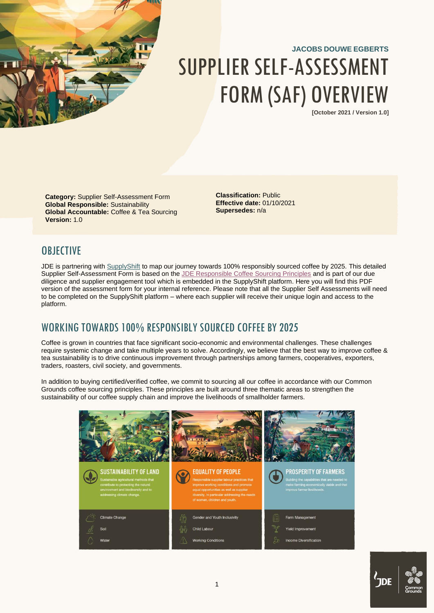

# **JACOBS DOUWE EGBERTS** SUPPLIER SELF-ASSESSMENT FORM (SAF) OVERVIEW

**[October 2021 / Version 1.0]**

**Category:** Supplier Self-Assessment Form **Global Responsible:** Sustainability **Global Accountable:** Coffee & Tea Sourcing **Version:** 1.0

**Classification:** Public **Effective date:** 01/10/2021 **Supersedes:** n/a

## <span id="page-0-0"></span>**OBJECTIVE**

JDE is partnering wit[h SupplyShift](https://www.supplyshift.net/about-us/) to map our journey towards 100% responsibly sourced coffee by 2025. This detailed Supplier Self-Assessment Form is based on the [JDE Responsible Coffee Sourcing Principles](https://www.jacobsdouweegberts.com/contentassets/f72a753a37c7471e8d0c37527e4c8a39/jde-responsible-coffee-sourcing-principles.pdf) and is part of our due diligence and supplier engagement tool which is embedded in the SupplyShift platform. Here you will find this PDF version of the assessment form for your internal reference. Please note that all the Supplier Self Assessments will need to be completed on the SupplyShift platform – where each supplier will receive their unique login and access to the platform.

## <span id="page-0-1"></span>WORKING TOWARDS 100% RESPONSIBLY SOURCED COFFEE BY 2025

Coffee is grown in countries that face significant socio-economic and environmental challenges. These challenges require systemic change and take multiple years to solve. Accordingly, we believe that the best way to improve coffee & tea sustainability is to drive continuous improvement through partnerships among farmers, cooperatives, exporters, traders, roasters, civil society, and governments.

In addition to buying certified/verified coffee, we commit to sourcing all our coffee in accordance with our Common Grounds coffee sourcing principles. These principles are built around three thematic areas to strengthen the sustainability of our coffee supply chain and improve the livelihoods of smallholder farmers.



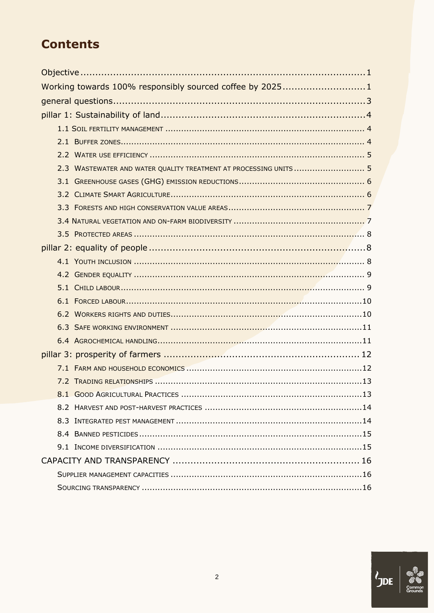## **Contents**

| Working towards 100% responsibly sourced coffee by 20251          |  |
|-------------------------------------------------------------------|--|
|                                                                   |  |
|                                                                   |  |
|                                                                   |  |
|                                                                   |  |
|                                                                   |  |
| 2.3 WASTEWATER AND WATER QUALITY TREATMENT AT PROCESSING UNITS  5 |  |
|                                                                   |  |
|                                                                   |  |
|                                                                   |  |
|                                                                   |  |
|                                                                   |  |
|                                                                   |  |
|                                                                   |  |
|                                                                   |  |
|                                                                   |  |
|                                                                   |  |
|                                                                   |  |
|                                                                   |  |
|                                                                   |  |
|                                                                   |  |
|                                                                   |  |
|                                                                   |  |
|                                                                   |  |
|                                                                   |  |
|                                                                   |  |
|                                                                   |  |
|                                                                   |  |
|                                                                   |  |
|                                                                   |  |
|                                                                   |  |

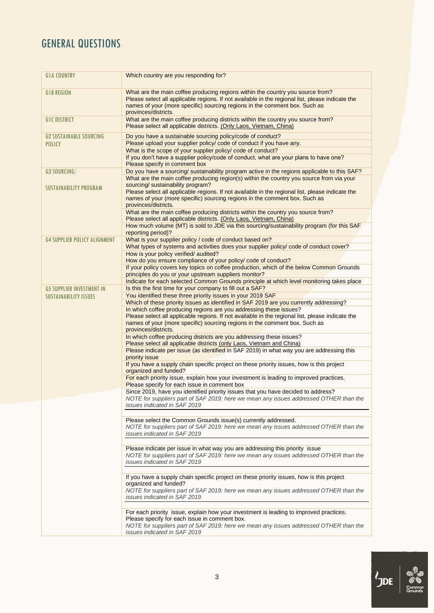## <span id="page-2-0"></span>GENERAL QUESTIONS

| <b>GIA COUNTRY</b>                  | Which country are you responding for?                                                                                                                                                                                                                                                    |
|-------------------------------------|------------------------------------------------------------------------------------------------------------------------------------------------------------------------------------------------------------------------------------------------------------------------------------------|
| <b>GIB REGION</b>                   | What are the main coffee producing regions within the country you source from?<br>Please select all applicable regions. If not available in the regional list, please indicate the<br>names of your (more specific) sourcing regions in the comment box. Such as<br>provinces/districts. |
| <b>GIC DISTRICT</b>                 | What are the main coffee producing districts within the country you source from?<br>Please select all applicable districts. (Only Laos, Vietnam, China)                                                                                                                                  |
| <b>G2 SUSTAINABLE SOURCING</b>      | Do you have a sustainable sourcing policy/code of conduct?                                                                                                                                                                                                                               |
| <b>POLICY</b>                       | Please upload your supplier policy/ code of conduct if you have any.                                                                                                                                                                                                                     |
|                                     | What is the scope of your supplier policy/ code of conduct?<br>If you don't have a supplier policy/code of conduct, what are your plans to have one?                                                                                                                                     |
|                                     | Please specify in comment box                                                                                                                                                                                                                                                            |
| <b>G3 SOURCING/</b>                 | Do you have a sourcing/ sustainability program active in the regions applicable to this SAF?                                                                                                                                                                                             |
|                                     | What are the main coffee producing region(s) within the country you source from via your                                                                                                                                                                                                 |
| <b>SUSTAINABILITY PROGRAM</b>       | sourcing/ sustainability program?<br>Please select all applicable regions. If not available in the regional list, please indicate the<br>names of your (more specific) sourcing regions in the comment box. Such as<br>provinces/districts.                                              |
|                                     | What are the main coffee producing districts within the country you source from?<br>Please select all applicable districts. (Only Laos, Vietnam, China)                                                                                                                                  |
|                                     | How much volume (MT) is sold to JDE via this sourcing/sustainability program (for this SAF<br>reporting period)?                                                                                                                                                                         |
| <b>G4 SUPPLIER POLICY ALIGNMENT</b> | What is your supplier policy / code of conduct based on?<br>What types of systems and activities does your supplier policy/ code of conduct cover?                                                                                                                                       |
|                                     | How is your policy verified/ audited?                                                                                                                                                                                                                                                    |
|                                     | How do you ensure compliance of your policy/ code of conduct?                                                                                                                                                                                                                            |
|                                     | If your policy covers key topics on coffee production, which of the below Common Grounds<br>principles do you or your upstream suppliers monitor?                                                                                                                                        |
| <b>G5 SUPPLIER INVESTMENT IN</b>    | Indicate for each selected Common Grounds principle at which level monitoring takes place<br>Is this the first time for your company to fill out a SAF?                                                                                                                                  |
| <b>SUSTAINABILITY ISSUES</b>        | You identified these three priority issues in your 2019 SAF                                                                                                                                                                                                                              |
|                                     | Which of these priority issues as identified in SAF 2019 are you currently addressing?                                                                                                                                                                                                   |
|                                     | In which coffee producing regions are you addressing these issues?<br>Please select all applicable regions. If not available in the regional list, please indicate the<br>names of your (more specific) sourcing regions in the comment box. Such as<br>provinces/districts.             |
|                                     | In which coffee producing districts are you addressing these issues?<br>Please select all applicable districts (only Laos, Vietnam and China)                                                                                                                                            |
|                                     | Please indicate per issue (as identified in SAF 2019) in what way you are addressing this                                                                                                                                                                                                |
|                                     | priority issue                                                                                                                                                                                                                                                                           |
|                                     | If you have a supply chain specific project on these priority issues, how is this project<br>organized and funded?                                                                                                                                                                       |
|                                     | For each priority issue, explain how your investment is leading to improved practices.<br>Please specify for each issue in comment box                                                                                                                                                   |
|                                     | Since 2019, have you identified priority issues that you have decided to address?                                                                                                                                                                                                        |
|                                     | NOTE for suppliers part of SAF 2019: here we mean any issues addressed OTHER than the<br>issues indicated in SAF 2019                                                                                                                                                                    |
|                                     |                                                                                                                                                                                                                                                                                          |
|                                     | Please select the Common Grounds issue(s) currently addressed.<br>NOTE for suppliers part of SAF 2019: here we mean any issues addressed OTHER than the<br>issues indicated in SAF 2019                                                                                                  |
|                                     | Please indicate per issue in what way you are addressing this priority issue                                                                                                                                                                                                             |
|                                     | NOTE for suppliers part of SAF 2019: here we mean any issues addressed OTHER than the<br>issues indicated in SAF 2019                                                                                                                                                                    |
|                                     | If you have a supply chain specific project on these priority issues, how is this project                                                                                                                                                                                                |
|                                     | organized and funded?<br>NOTE for suppliers part of SAF 2019: here we mean any issues addressed OTHER than the<br>issues indicated in SAF 2019                                                                                                                                           |
|                                     | For each priority issue, explain how your investment is leading to improved practices.                                                                                                                                                                                                   |
|                                     | Please specify for each issue in comment box.<br>NOTE for suppliers part of SAF 2019: here we mean any issues addressed OTHER than the<br>issues indicated in SAF 2019                                                                                                                   |

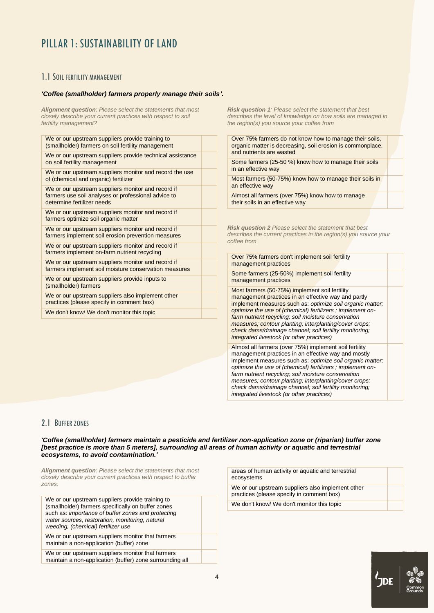## <span id="page-3-0"></span>PILLAR 1: SUSTAINABILITY OF LAND

## <span id="page-3-1"></span>1.1 SOIL FERTILITY MANAGEMENT

#### *'Coffee (smallholder) farmers properly manage their soils'.*

*Alignment question: Please select the statements that most closely describe your current practices with respect to soil fertility management?*

| We or our upstream suppliers provide training to<br>(smallholder) farmers on soil fertility management                                  |  |
|-----------------------------------------------------------------------------------------------------------------------------------------|--|
| We or our upstream suppliers provide technical assistance<br>on soil fertility management                                               |  |
| We or our upstream suppliers monitor and record the use<br>of (chemical and organic) fertilizer                                         |  |
| We or our upstream suppliers monitor and record if<br>farmers use soil analyses or professional advice to<br>determine fertilizer needs |  |
| We or our upstream suppliers monitor and record if<br>farmers optimize soil organic matter                                              |  |
| We or our upstream suppliers monitor and record if<br>farmers implement soil erosion prevention measures                                |  |
| We or our upstream suppliers monitor and record if<br>farmers implement on-farm nutrient recycling                                      |  |
| We or our upstream suppliers monitor and record if<br>farmers implement soil moisture conservation measures                             |  |
| We or our upstream suppliers provide inputs to<br>(smallholder) farmers                                                                 |  |
| We or our upstream suppliers also implement other<br>practices (please specify in comment box)                                          |  |
| We don't know/ We don't monitor this topic                                                                                              |  |

*Risk question 1: Please select the statement that best describes the level of knowledge on how soils are managed in the region(s) you source your coffee from*

Over 75% farmers do not know how to manage their soils, organic matter is decreasing, soil erosion is commonplace, and nutrients are wasted

Some farmers (25-50 %) know how to manage their soils in an effective way

Most farmers (50-75%) know how to manage their soils in an effective way

Almost all farmers (over 75%) know how to manage their soils in an effective way

*Risk question 2 Please select the statement that best describes the current practices in the region(s) you source your coffee from*

Over 75% farmers don't implement soil fertility management practices

Some farmers (25-50%) implement soil fertility management practices

Most farmers (50-75%) implement soil fertility management practices in an effective way and partly implement measures such as: *optimize soil organic matter; optimize the use of (chemical) fertilizers ; implement onfarm nutrient recycling; soil moisture conservation measures; contour planting; interplanting/cover crops; check dams/drainage channel; soil fertility monitoring; integrated livestock (or other practices)*

Almost all farmers (over 75%) implement soil fertility management practices in an effective way and mostly implement measures such as: *optimize soil organic matter; optimize the use of (chemical) fertilizers ; implement onfarm nutrient recycling; soil moisture conservation measures; contour planting; interplanting/cover crops; check dams/drainage channel; soil fertility monitoring; integrated livestock (or other practices)*

## <span id="page-3-2"></span>2.1 BUFFER ZONES

'Coffee (smallholder) farmers maintain a pesticide and fertilizer non-application zone or (riparian) buffer zone *[best practice is more than 5 meters], surrounding all areas of human activity or aquatic and terrestrial ecosystems, to avoid contamination.'*

*Alignment question: Please select the statements that most closely describe your current practices with respect to buffer zones:*

| We or our upstream suppliers provide training to<br>(smallholder) farmers specifically on buffer zones<br>such as: importance of buffer zones and protecting<br>water sources, restoration, monitoring, natural<br>weeding, (chemical) fertilizer use |  |
|-------------------------------------------------------------------------------------------------------------------------------------------------------------------------------------------------------------------------------------------------------|--|
| We or our upstream suppliers monitor that farmers<br>maintain a non-application (buffer) zone                                                                                                                                                         |  |
| We or our upstream suppliers monitor that farmers<br>maintain a non-application (buffer) zone surrounding all                                                                                                                                         |  |

| areas of human activity or aquatic and terrestrial<br>ecosystems                               |  |
|------------------------------------------------------------------------------------------------|--|
| We or our upstream suppliers also implement other<br>practices (please specify in comment box) |  |
| We don't know/ We don't monitor this topic                                                     |  |

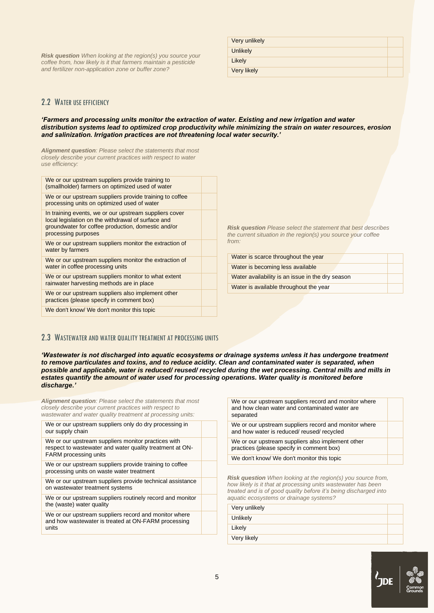*Risk question When looking at the region(s) you source your coffee from, how likely is it that farmers maintain a pesticide and fertilizer non-application zone or buffer zone?*

| Very unlikely      |  |
|--------------------|--|
| <b>Unlikely</b>    |  |
| Likely             |  |
| <b>Very likely</b> |  |

## <span id="page-4-0"></span>2.2 WATER LISE FEEICIENCY

#### *'Farmers and processing units monitor the extraction of water. Existing and new irrigation and water distribution systems lead to optimized crop productivity while minimizing the strain on water resources, erosion and salinization. Irrigation practices are not threatening local water security.'*

*Alignment question: Please select the statements that most closely describe your current practices with respect to water use efficiency:*

| We or our upstream suppliers provide training to<br>(smallholder) farmers on optimized used of water                                                                                      |  |
|-------------------------------------------------------------------------------------------------------------------------------------------------------------------------------------------|--|
| We or our upstream suppliers provide training to coffee<br>processing units on optimized used of water                                                                                    |  |
| In training events, we or our upstream suppliers cover<br>local legislation on the withdrawal of surface and<br>groundwater for coffee production, domestic and/or<br>processing purposes |  |
| We or our upstream suppliers monitor the extraction of<br>water by farmers                                                                                                                |  |
| We or our upstream suppliers monitor the extraction of<br>water in coffee processing units                                                                                                |  |
| We or our upstream suppliers monitor to what extent<br>rainwater harvesting methods are in place                                                                                          |  |
| We or our upstream suppliers also implement other<br>practices (please specify in comment box)                                                                                            |  |
| We don't know/ We don't monitor this topic                                                                                                                                                |  |

*Risk question Please select the statement that best describes the current situation in the region(s) you source your coffee from:*

| Water is scarce throughout the year              |  |
|--------------------------------------------------|--|
| Water is becoming less available                 |  |
| Water availability is an issue in the dry season |  |
| Water is available throughout the year           |  |

### <span id="page-4-1"></span>2.3 WASTEWATER AND WATER QUALITY TREATMENT AT PROCESSING UNITS

*'Wastewater is not discharged into aquatic ecosystems or drainage systems unless it has undergone treatment to remove particulates and toxins, and to reduce acidity. Clean and contaminated water is separated, when possible and applicable, water is reduced/ reused/ recycled during the wet processing. Central mills and mills in*  estates quantify the amount of water used for processing operations. Water quality is monitored before *discharge.'*

*Alignment question: Please select the statements that most closely describe your current practices with respect to wastewater and water quality treatment at processing units:*

| We or our upstream suppliers only do dry processing in<br>our supply chain                                                                      |  |
|-------------------------------------------------------------------------------------------------------------------------------------------------|--|
| We or our upstream suppliers monitor practices with<br>respect to wastewater and water quality treatment at ON-<br><b>FARM</b> processing units |  |
| We or our upstream suppliers provide training to coffee<br>processing units on waste water treatment                                            |  |
| We or our upstream suppliers provide technical assistance<br>on wastewater treatment systems                                                    |  |
| We or our upstream suppliers routinely record and monitor<br>the (waste) water quality                                                          |  |
| We or our upstream suppliers record and monitor where<br>and how wastewater is treated at ON-FARM processing<br>units                           |  |
|                                                                                                                                                 |  |

We or our upstream suppliers record and monitor where and how clean water and contaminated water are separated

We or our upstream suppliers record and monitor where and how water is reduced/ reused/ recycled

We or our upstream suppliers also implement other practices (please specify in comment box)

We don't know/ We don't monitor this topic

*Risk question When looking at the region(s) you source from, how likely is it that at processing units wastewater has been treated and is of good quality before it's being discharged into aquatic ecosystems or drainage systems?*

| Very unlikely |  |
|---------------|--|
| Unlikely      |  |
| Likely        |  |
| Very likely   |  |

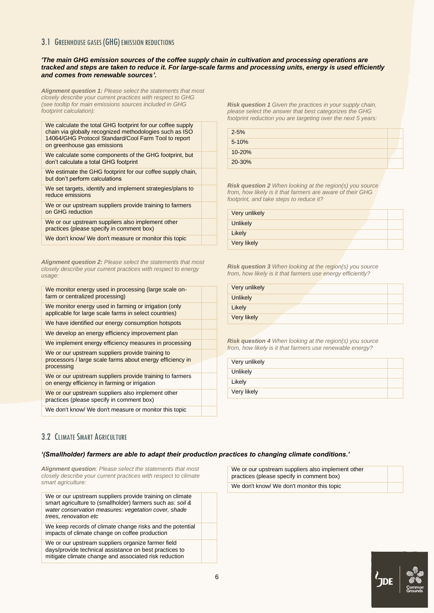## <span id="page-5-0"></span>3.1 GREENHOUSE GASES (GHG) EMISSION REDUCTIONS

#### *'The main GHG emission sources of the coffee supply chain in cultivation and processing operations are tracked and steps are taken to reduce it. For large-scale farms and processing units, energy is used efficiently and comes from renewable sources'.*

*Alignment question 1: Please select the statements that most closely describe your current practices with respect to GHG (see tooltip for main emissions sources included in GHG footprint calculation):*

| We calculate the total GHG footprint for our coffee supply |
|------------------------------------------------------------|
| chain via globally recognized methodologies such as ISO    |
| 14064/GHG Protocol Standard/Cool Farm Tool to report       |
| on greenhouse gas emissions                                |
| We calculate some components of the GHG footprint, but     |

don't calculate a total GHG footprint

We estimate the GHG footprint for our coffee supply chain, but don't perform calculations

We set targets, identify and implement strategies/plans to reduce emissions

We or our upstream suppliers provide training to farmers on GHG reduction

We or our upstream suppliers also implement other practices (please specify in comment box)

We don't know/ We don't measure or monitor this topic

*Alignment question 2: Please select the statements that most closely describe your current practices with respect to energy usage:*

| We monitor energy used in processing (large scale on-<br>farm or centralized processing)                                    |  |
|-----------------------------------------------------------------------------------------------------------------------------|--|
| We monitor energy used in farming or irrigation (only<br>applicable for large scale farms in select countries)              |  |
| We have identified our energy consumption hotspots                                                                          |  |
| We develop an energy efficiency improvement plan                                                                            |  |
| We implement energy efficiency measures in processing                                                                       |  |
| We or our upstream suppliers provide training to<br>processors / large scale farms about energy efficiency in<br>processing |  |
| We or our upstream suppliers provide training to farmers<br>on energy efficiency in farming or irrigation                   |  |
| We or our upstream suppliers also implement other<br>practices (please specify in comment box)                              |  |

We don't know/ We don't measure or monitor this topic

*Risk question 1 Given the practices in your supply chain, please select the answer that best categorizes the GHG footprint reduction you are targeting over the next 5 years:*

| $2 - 5%$  |  |
|-----------|--|
| $5 - 10%$ |  |
| 10-20%    |  |
| 20-30%    |  |

*Risk question 2 When looking at the region(s) you source from, how likely is it that farmers are aware of their GHG footprint, and take steps to reduce it?* 

| Very unlikely |  |  |
|---------------|--|--|
| Unlikely      |  |  |
| Likely        |  |  |
| Very likely   |  |  |

*Risk question 3 When looking at the region(s) you source from, how likely is it that farmers use energy efficiently?* 

| Very unlikely |  |
|---------------|--|
| Unlikely      |  |
| Likely        |  |
| Very likely   |  |

*Risk question 4 When looking at the region(s) you source from, how likely is it that farmers use renewable energy?*

| Very unlikely |  |
|---------------|--|
| Unlikely      |  |
| Likely        |  |
| Very likely   |  |
|               |  |

## <span id="page-5-1"></span>3.2 CLIMATE SMART AGRICULTURE

#### *'(Smallholder) farmers are able to adapt their production practices to changing climate conditions.'*

*Alignment question: Please select the statements that most closely describe your current practices with respect to climate smart agriculture:*

We or our upstream suppliers provide training on climate smart agriculture to (smallholder) farmers such as: *soil & water conservation measures: vegetation cover, shade trees, renovation etc*

We keep records of climate change risks and the potential impacts of climate change on coffee production

We or our upstream suppliers organize farmer field days/provide technical assistance on best practices to mitigate climate change and associated risk reduction

We or our upstream suppliers also implement other practices (please specify in comment box) We don't know/ We don't monitor this topic

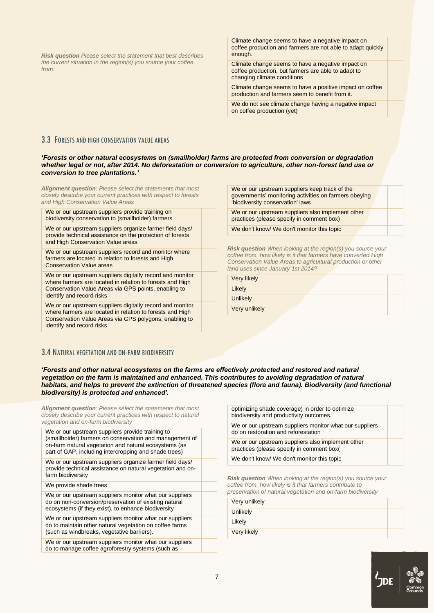*Risk question Please select the statement that best describes the current situation in the region(s) you source your coffee from:*

Climate change seems to have a negative impact on coffee production and farmers are not able to adapt quickly enough.

Climate change seems to have a negative impact on coffee production, but farmers are able to adapt to changing climate conditions

Climate change seems to have a positive impact on coffee production and farmers seem to benefit from it.

We do not see climate change having a negative impact on coffee production (yet)

### <span id="page-6-0"></span>3.3 FORESTS AND HIGH CONSERVATION VALUE AREAS

#### *'Forests or other natural ecosystems on (smallholder) farms are protected from conversion or degradation whether legal or not, after 2014. No deforestation or conversion to agriculture, other non-forest land use or conversion to tree plantations.'*

*Alignment question: Please select the statements that most closely describe your current practices with respect to forests and High Conservation Value Areas*

We or our upstream suppliers provide training on biodiversity conservation to (smallholder) farmers

We or our upstream suppliers organize farmer field days/ provide technical assistance on the protection of forests and High Conservation Value areas

We or our upstream suppliers record and monitor where farmers are located in relation to forests and High Conservation Value areas

We or our upstream suppliers digitally record and monitor where farmers are located in relation to forests and High Conservation Value Areas via GPS points, enabling to identify and record risks

We or our upstream suppliers digitally record and monitor where farmers are located in relation to forests and High Conservation Value Areas via GPS polygons, enabling to identify and record risks

We or our upstream suppliers keep track of the governments' monitoring activities on farmers obeying 'biodiversity conservation' laws

We or our upstream suppliers also implement other practices (please specify in comment box)

We don't know/ We don't monitor this topic

*Risk question When looking at the region(s) you source your coffee from, how likely is it that farmers have converted High Conservation Value Areas to agricultural production or other land uses since January 1st 2014?*

| Very likely     |
|-----------------|
| Likely          |
| <b>Unlikely</b> |

Very unlikely

### <span id="page-6-1"></span>3.4 NATURAL VEGETATION AND ON-FARM BIODIVERSITY

*'Forests and other natural ecosystems on the farms are effectively protected and restored and natural*  vegetation on the farm is maintained and enhanced. This contributes to avoiding degradation of natural habitats, and helps to prevent the extinction of threatened species (flora and fauna). Biodiversity (and functional *biodiversity) is protected and enhanced'.*

| <b>Alignment question:</b> Please select the statements that most<br>closely describe your current practices with respect to natural<br>vegetation and on-farm biodiversity                                                   |  |  |
|-------------------------------------------------------------------------------------------------------------------------------------------------------------------------------------------------------------------------------|--|--|
| We or our upstream suppliers provide training to<br>(smallholder) farmers on conservation and management of<br>on-farm natural vegetation and natural ecosystems (as<br>part of GAP, including intercropping and shade trees) |  |  |
| We or our upstream suppliers organize farmer field days/<br>provide technical assistance on natural vegetation and on-<br>farm biodiversity                                                                                   |  |  |
| We provide shade trees                                                                                                                                                                                                        |  |  |
| We or our upstream suppliers monitor what our suppliers<br>do on non-conversion/preservation of existing natural<br>ecosystems (if they exist), to enhance biodiversity                                                       |  |  |
| We or our upstream suppliers monitor what our suppliers<br>do to maintain other natural vegetation on coffee farms<br>(such as windbreaks, vegetative barriers).                                                              |  |  |
| We or our upstream suppliers monitor what our suppliers                                                                                                                                                                       |  |  |

We or our upstream suppliers monitor what our suppliers do to manage coffee agroforestry systems (such as

| optimizing shade coverage) in order to optimize<br>biodiversity and productivity outcomes.     |
|------------------------------------------------------------------------------------------------|
|                                                                                                |
| We or our upstream suppliers monitor what our suppliers<br>do on restoration and reforestation |
| We or our upstream suppliers also implement other<br>practices (please specify in comment box( |
| We don't know/ We don't monitor this topic                                                     |

*Risk question When looking at the region(s) you source your coffee from, how likely is it that farmers contribute to preservation of natural vegetation and on-farm biodiversity*

| Very unlikely |  |
|---------------|--|
| Unlikely      |  |
| Likely        |  |
| Very likely   |  |
|               |  |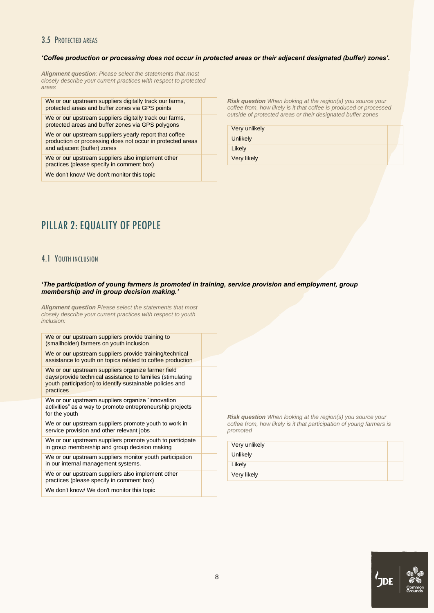## <span id="page-7-0"></span>3.5 PROTECTED AREAS

#### *'Coffee production or processing does not occur in protected areas or their adjacent designated (buffer) zones'.*

*Alignment question: Please select the statements that most closely describe your current practices with respect to protected areas*

| We or our upstream suppliers digitally track our farms,<br>protected areas and buffer zones via GPS points                                          |  |
|-----------------------------------------------------------------------------------------------------------------------------------------------------|--|
| We or our upstream suppliers digitally track our farms,<br>protected areas and buffer zones via GPS polygons                                        |  |
| We or our upstream suppliers yearly report that coffee<br>production or processing does not occur in protected areas<br>and adjacent (buffer) zones |  |
| We or our upstream suppliers also implement other<br>practices (please specify in comment box)                                                      |  |
| We don't know/ We don't monitor this topic                                                                                                          |  |
|                                                                                                                                                     |  |

*Risk question When looking at the region(s) you source your coffee from, how likely is it that coffee is produced or processed outside of protected areas or their designated buffer zones*

Very unlikely **Unlikely** Likely

Very likely

## <span id="page-7-1"></span>PILLAR 2: EQUALITY OF PEOPLE

## <span id="page-7-2"></span>4.1 YOUTH INCLUSION

#### *'The participation of young farmers is promoted in training, service provision and employment, group membership and in group decision making.'*

*Alignment question Please select the statements that most closely describe your current practices with respect to youth inclusion:*

| We or our upstream suppliers provide training/technical<br>assistance to youth on topics related to coffee production<br>We or our upstream suppliers organize farmer field<br>days/provide technical assistance to families (stimulating<br>youth participation) to identify sustainable policies and<br>practices<br>We or our upstream suppliers organize "innovation"<br>activities" as a way to promote entrepreneurship projects<br>for the youth<br>We or our upstream suppliers promote youth to work in<br>service provision and other relevant jobs<br>We or our upstream suppliers promote youth to participate<br>in group membership and group decision making<br>We or our upstream suppliers monitor youth participation<br>in our internal management systems.<br>We or our upstream suppliers also implement other<br>practices (please specify in comment box)<br>We don't know/ We don't monitor this topic | We or our upstream suppliers provide training to<br>(smallholder) farmers on youth inclusion |  |
|--------------------------------------------------------------------------------------------------------------------------------------------------------------------------------------------------------------------------------------------------------------------------------------------------------------------------------------------------------------------------------------------------------------------------------------------------------------------------------------------------------------------------------------------------------------------------------------------------------------------------------------------------------------------------------------------------------------------------------------------------------------------------------------------------------------------------------------------------------------------------------------------------------------------------------|----------------------------------------------------------------------------------------------|--|
|                                                                                                                                                                                                                                                                                                                                                                                                                                                                                                                                                                                                                                                                                                                                                                                                                                                                                                                                |                                                                                              |  |
|                                                                                                                                                                                                                                                                                                                                                                                                                                                                                                                                                                                                                                                                                                                                                                                                                                                                                                                                |                                                                                              |  |
|                                                                                                                                                                                                                                                                                                                                                                                                                                                                                                                                                                                                                                                                                                                                                                                                                                                                                                                                |                                                                                              |  |
|                                                                                                                                                                                                                                                                                                                                                                                                                                                                                                                                                                                                                                                                                                                                                                                                                                                                                                                                |                                                                                              |  |
|                                                                                                                                                                                                                                                                                                                                                                                                                                                                                                                                                                                                                                                                                                                                                                                                                                                                                                                                |                                                                                              |  |
|                                                                                                                                                                                                                                                                                                                                                                                                                                                                                                                                                                                                                                                                                                                                                                                                                                                                                                                                |                                                                                              |  |
|                                                                                                                                                                                                                                                                                                                                                                                                                                                                                                                                                                                                                                                                                                                                                                                                                                                                                                                                |                                                                                              |  |
|                                                                                                                                                                                                                                                                                                                                                                                                                                                                                                                                                                                                                                                                                                                                                                                                                                                                                                                                |                                                                                              |  |

*Risk question When looking at the region(s) you source your coffee from, how likely is it that participation of young farmers is promoted*

| Very unlikely |  |
|---------------|--|
| Unlikely      |  |
| Likely        |  |
| Very likely   |  |

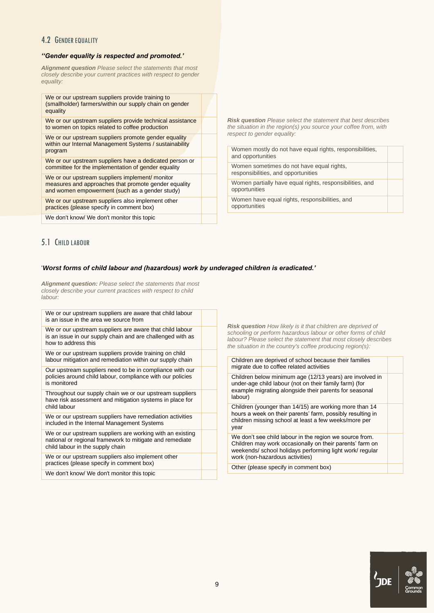## <span id="page-8-0"></span>4.2 GENDER EQUALITY

### *''Gender equality is respected and promoted.'*

*Alignment question Please select the statements that most closely describe your current practices with respect to gender equality:*

| We or our upstream suppliers provide training to<br>(smallholder) farmers/within our supply chain on gender<br>equality                                   |  |
|-----------------------------------------------------------------------------------------------------------------------------------------------------------|--|
| We or our upstream suppliers provide technical assistance<br>to women on topics related to coffee production                                              |  |
| We or our upstream suppliers promote gender equality<br>within our Internal Management Systems / sustainability<br>program                                |  |
| We or our upstream suppliers have a dedicated person or<br>committee for the implementation of gender equality                                            |  |
| We or our upstream suppliers implement/ monitor<br>measures and approaches that promote gender equality<br>and women empowerment (such as a gender study) |  |
| We or our upstream suppliers also implement other<br>practices (please specify in comment box)                                                            |  |
| We don't know/ We don't monitor this topic                                                                                                                |  |

*Risk question Please select the statement that best describes the situation in the region(s) you source your coffee from, with respect to gender equality:*

| Women mostly do not have equal rights, responsibilities,<br>and opportunities    |  |
|----------------------------------------------------------------------------------|--|
| Women sometimes do not have equal rights,<br>responsibilities, and opportunities |  |
| Women partially have equal rights, responsibilities, and<br>opportunities        |  |
| Women have equal rights, responsibilities, and<br>opportunities                  |  |

## <span id="page-8-1"></span>5.1 CHILD LABOUR

#### '*Worst forms of child labour and (hazardous) work by underaged children is eradicated.'*

*Alignment question: Please select the statements that most closely describe your current practices with respect to child labour:*

| We or our upstream suppliers are aware that child labour<br>is an issue in the area we source from                                                        |                                                                                                                                                                                                                                                                       |
|-----------------------------------------------------------------------------------------------------------------------------------------------------------|-----------------------------------------------------------------------------------------------------------------------------------------------------------------------------------------------------------------------------------------------------------------------|
| We or our upstream suppliers are aware that child labour<br>is an issue in our supply chain and are challenged with as<br>how to address this             | <b>Risk question</b> How likely is it that children are deprived of<br>schooling or perform hazardous labour or other forms of child<br>labour? Please select the statement that most closely describes<br>the situation in the country's coffee producing region(s): |
| We or our upstream suppliers provide training on child<br>labour mitigation and remediation within our supply chain                                       | Children are deprived of school because their families                                                                                                                                                                                                                |
| Our upstream suppliers need to be in compliance with our                                                                                                  | migrate due to coffee related activities                                                                                                                                                                                                                              |
| policies around child labour, compliance with our policies<br>is monitored                                                                                | Children below minimum age (12/13 years) are involved in<br>under-age child labour (not on their family farm) (for                                                                                                                                                    |
| Throughout our supply chain we or our upstream suppliers<br>have risk assessment and mitigation systems in place for                                      | example migrating alongside their parents for seasonal<br>labour)                                                                                                                                                                                                     |
| child labour                                                                                                                                              | Children (younger than 14/15) are working more than 14                                                                                                                                                                                                                |
| We or our upstream suppliers have remediation activities<br>included in the Internal Management Systems                                                   | hours a week on their parents' farm, possibly resulting in<br>children missing school at least a few weeks/more per<br>year                                                                                                                                           |
| We or our upstream suppliers are working with an existing<br>national or regional framework to mitigate and remediate<br>child labour in the supply chain | We don't see child labour in the region we source from.<br>Children may work occasionally on their parents' farm on<br>weekends/ school holidays performing light work/ regular                                                                                       |
| We or our upstream suppliers also implement other                                                                                                         | work (non-hazardous activities)                                                                                                                                                                                                                                       |
| practices (please specify in comment box)                                                                                                                 | Other (please specify in comment box)                                                                                                                                                                                                                                 |
| We don't know/ We don't monitor this topic                                                                                                                |                                                                                                                                                                                                                                                                       |
|                                                                                                                                                           |                                                                                                                                                                                                                                                                       |

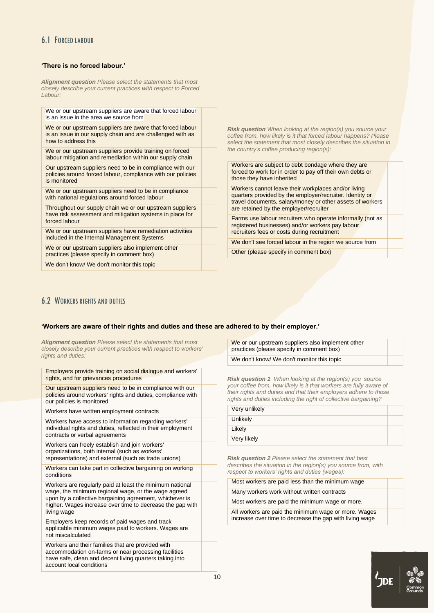## <span id="page-9-0"></span>6.1 FORCED LABOUR

### **'There is no forced labour.'**

*Alignment question Please select the statements that most closely describe your current practices with respect to Forced Labour:*

| We or our upstream suppliers are aware that forced labour<br>is an issue in the area we source from                                            |                                                                                                                                                                                                             |  |
|------------------------------------------------------------------------------------------------------------------------------------------------|-------------------------------------------------------------------------------------------------------------------------------------------------------------------------------------------------------------|--|
| We or our upstream suppliers are aware that forced labour<br>is an issue in our supply chain and are challenged with as<br>how to address this | <b>Risk question</b> When looking at the region(s) you source your<br>coffee from, how likely is it that forced labour happens? Please<br>select the statement that most closely describes the situation in |  |
| We or our upstream suppliers provide training on forced<br>labour mitigation and remediation within our supply chain                           | the country's coffee producing region(s):                                                                                                                                                                   |  |
| Our upstream suppliers need to be in compliance with our<br>policies around forced labour, compliance with our policies<br>is monitored        | Workers are subject to debt bondage where they are<br>forced to work for in order to pay off their own debts or<br>those they have inherited                                                                |  |
| We or our upstream suppliers need to be in compliance<br>with national regulations around forced labour                                        | Workers cannot leave their workplaces and/or living<br>quarters provided by the employer/recruiter. Identity or<br>travel documents, salary/money or other assets of workers                                |  |
| Throughout our supply chain we or our upstream suppliers<br>have risk assessment and mitigation systems in place for                           | are retained by the employer/recruiter                                                                                                                                                                      |  |
| forced labour                                                                                                                                  | Farms use labour recruiters who operate informally (not as<br>registered businesses) and/or workers pay labour                                                                                              |  |
| We or our upstream suppliers have remediation activities<br>included in the Internal Management Systems                                        | recruiters fees or costs during recruitment                                                                                                                                                                 |  |
|                                                                                                                                                | We don't see forced labour in the region we source from                                                                                                                                                     |  |
| We or our upstream suppliers also implement other<br>practices (please specify in comment box)                                                 | Other (please specify in comment box)                                                                                                                                                                       |  |
| We don't know/ We don't monitor this topic                                                                                                     |                                                                                                                                                                                                             |  |
|                                                                                                                                                |                                                                                                                                                                                                             |  |

## <span id="page-9-1"></span>**6.2 WORKERS RIGHTS AND DUTIES**

#### **'Workers are aware of their rights and duties and these are adhered to by their employer.'**

*Alignment question Please select the statements that most closely describe your current practices with respect to workers' rights and duties:*

| Employers provide training on social dialogue and workers'<br>rights, and for grievances procedures                                                                                                                                                    |  |
|--------------------------------------------------------------------------------------------------------------------------------------------------------------------------------------------------------------------------------------------------------|--|
| Our upstream suppliers need to be in compliance with our<br>policies around workers' rights and duties, compliance with<br>our policies is monitored                                                                                                   |  |
| Workers have written employment contracts                                                                                                                                                                                                              |  |
| Workers have access to information regarding workers'<br>individual rights and duties, reflected in their employment<br>contracts or verbal agreements                                                                                                 |  |
| Workers can freely establish and join workers'<br>organizations, both internal (such as workers'<br>representations) and external (such as trade unions)                                                                                               |  |
| Workers can take part in collective bargaining on working<br>conditions                                                                                                                                                                                |  |
| Workers are regularly paid at least the minimum national<br>wage, the minimum regional wage, or the wage agreed<br>upon by a collective bargaining agreement, whichever is<br>higher. Wages increase over time to decrease the gap with<br>living wage |  |
| Employers keep records of paid wages and track<br>applicable minimum wages paid to workers. Wages are<br>not miscalculated                                                                                                                             |  |
| Workers and their families that are provided with<br>accommodation on-farms or near processing facilities<br>have safe, clean and decent living quarters taking into<br>account local conditions                                                       |  |

We or our upstream suppliers also implement other practices (please specify in comment box) We don't know/ We don't monitor this topic

*Risk question 1 When looking at the region(s) you source your coffee from, how likely is it that workers are fully aware of their rights and duties and that their employers adhere to those rights and duties including the right of collective bargaining?*

| Very unlikely |  |
|---------------|--|
| Unlikely      |  |
| Likely        |  |
| Very likely   |  |
|               |  |

*Risk question 2 Please select the statement that best describes the situation in the region(s) you source from, with respect to workers' rights and duties (wages):*

| Most workers are paid less than the minimum wage                                                                |
|-----------------------------------------------------------------------------------------------------------------|
| Many workers work without written contracts                                                                     |
| Most workers are paid the minimum wage or more.                                                                 |
| All workers are paid the minimum wage or more. Wages<br>increase over time to decrease the gap with living wage |

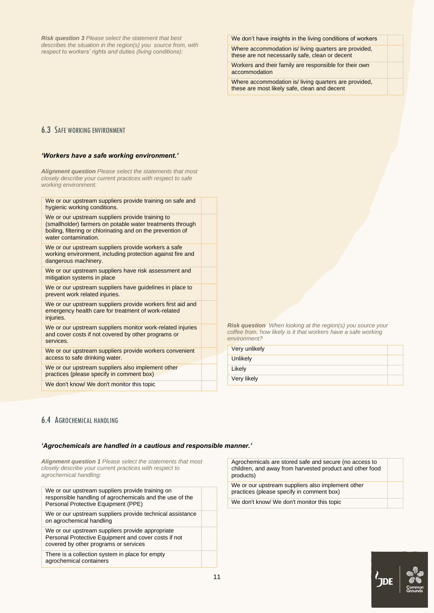*Risk question 3 Please select the statement that best describes the situation in the region(s) you source from, with respect to workers' rights and duties (living conditions):*

We don't have insights in the living conditions of workers

Where accommodation is/ living quarters are provided, these are not necessarily safe, clean or decent

Workers and their family are responsible for their own accommodation

Where accommodation is/ living quarters are provided, these are most likely safe, clean and decent

## <span id="page-10-0"></span>6.3 SAFE WORKING ENVIRONMENT

#### *'Workers have a safe working environment.'*

 $M_e$  or our upstream suppliers provide training on

*Alignment question Please select the statements that most closely describe your current practices with respect to safe working environment:*

| we or our upstream suppliers provide training on sale and<br>hygienic working conditions.                                                                                                            |  |
|------------------------------------------------------------------------------------------------------------------------------------------------------------------------------------------------------|--|
| We or our upstream suppliers provide training to<br>(smallholder) farmers on potable water treatments through<br>boiling, filtering or chlorinating and on the prevention of<br>water contamination. |  |
| We or our upstream suppliers provide workers a safe<br>working environment, including protection against fire and<br>dangerous machinery.                                                            |  |
| We or our upstream suppliers have risk assessment and<br>mitigation systems in place                                                                                                                 |  |
| We or our upstream suppliers have guidelines in place to<br>prevent work related injuries.                                                                                                           |  |
| We or our upstream suppliers provide workers first aid and<br>emergency health care for treatment of work-related<br>injuries.                                                                       |  |
| We or our upstream suppliers monitor work-related injuries<br>and cover costs if not covered by other programs or<br>services.                                                                       |  |
| We or our upstream suppliers provide workers convenient<br>access to safe drinking water.                                                                                                            |  |
| We or our upstream suppliers also implement other<br>practices (please specify in comment box)                                                                                                       |  |
| We don't know/ We don't monitor this topic                                                                                                                                                           |  |
|                                                                                                                                                                                                      |  |

*Risk question When looking at the region(s) you source your coffee from, how likely is it that workers have a safe working environment?*

| Very unlikely |  |
|---------------|--|
| Unlikely      |  |
| Likely        |  |
| Very likely   |  |

## <span id="page-10-1"></span>6.4 AGROCHEMICAL HANDLING

#### *'Agrochemicals are handled in a cautious and responsible manner.'*

*Alignment question 1 Please select the statements that most closely describe your current practices with respect to agrochemical handling:*

| We or our upstream suppliers provide training on<br>responsible handling of agrochemicals and the use of the<br>Personal Protective Equipment (PPE) |  |
|-----------------------------------------------------------------------------------------------------------------------------------------------------|--|
| We or our upstream suppliers provide technical assistance<br>on agrochemical handling                                                               |  |
| We or our upstream suppliers provide appropriate<br>Personal Protective Equipment and cover costs if not<br>covered by other programs or services   |  |
| There is a collection system in place for empty<br>agrochemical containers                                                                          |  |

Agrochemicals are stored safe and secure (no access to children, and away from harvested product and other food products)

We or our upstream suppliers also implement other practices (please specify in comment box) We don't know/ We don't monitor this topic

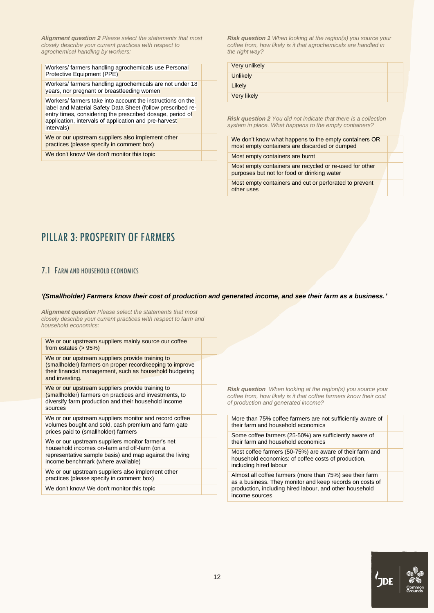*Alignment question 2 Please select the statements that most closely describe your current practices with respect to agrochemical handling by workers:*

Workers/ farmers handling agrochemicals use Personal Protective Equipment (PPE) Workers/ farmers handling agrochemicals are not under 18 years, nor pregnant or breastfeeding women Workers/ farmers take into account the instructions on the label and Material Safety Data Sheet (follow prescribed reentry times, considering the prescribed dosage, period of application, intervals of application and pre-harvest intervals) We or our upstream suppliers also implement other practices (please specify in comment box) We don't know/ We don't monitor this topic

*Risk question 1 When looking at the region(s) you source your coffee from, how likely is it that agrochemicals are handled in the right way?*

| Very unlikely      |  |
|--------------------|--|
| <b>Unlikely</b>    |  |
| Likely             |  |
| <b>Very likely</b> |  |

*Risk question 2 You did not indicate that there is a collection system in place. What happens to the empty containers?*

We don't know what happens to the empty containers OR most empty containers are discarded or dumped Most empty containers are burnt Most empty containers are recycled or re-used for other purposes but not for food or drinking water Most empty containers and cut or perforated to prevent other uses

## <span id="page-11-0"></span>PILLAR 3. PROSPERITY OF FARMERS

## <span id="page-11-1"></span>7.1 FARM AND HOUSEHOLD ECONOMICS

#### *'(Smallholder) Farmers know their cost of production and generated income, and see their farm as a business.'*

*Alignment question Please select the statements that most closely describe your current practices with respect to farm and household economics:*

| We or our upstream suppliers mainly source our coffee<br>from estates $(> 95%)$                                                                                                                    |  |
|----------------------------------------------------------------------------------------------------------------------------------------------------------------------------------------------------|--|
| We or our upstream suppliers provide training to<br>(smallholder) farmers on proper recordkeeping to improve<br>their financial management, such as household budgeting<br>and investing.          |  |
| We or our upstream suppliers provide training to<br>(smallholder) farmers on practices and investments, to<br>diversify farm production and their household income<br>sources                      |  |
| We or our upstream suppliers monitor and record coffee<br>volumes bought and sold, cash premium and farm gate<br>prices paid to (smallholder) farmers                                              |  |
| We or our upstream suppliers monitor farmer's net<br>household incomes on-farm and off-farm (on a<br>representative sample basis) and map against the living<br>income benchmark (where available) |  |
| We or our upstream suppliers also implement other<br>practices (please specify in comment box)                                                                                                     |  |
| We don't know/ We don't monitor this topic                                                                                                                                                         |  |

*Risk question When looking at the region(s) you source your coffee from, how likely is it that coffee farmers know their cost of production and generated income?*

| More than 75% coffee farmers are not sufficiently aware of<br>their farm and household economics                                                                                                  |  |
|---------------------------------------------------------------------------------------------------------------------------------------------------------------------------------------------------|--|
| Some coffee farmers (25-50%) are sufficiently aware of<br>their farm and household economics                                                                                                      |  |
| Most coffee farmers (50-75%) are aware of their farm and<br>household economics: of coffee costs of production,<br>including hired labour                                                         |  |
| Almost all coffee farmers (more than 75%) see their farm<br>as a business. They monitor and keep records on costs of<br>production, including hired labour, and other household<br>income sources |  |

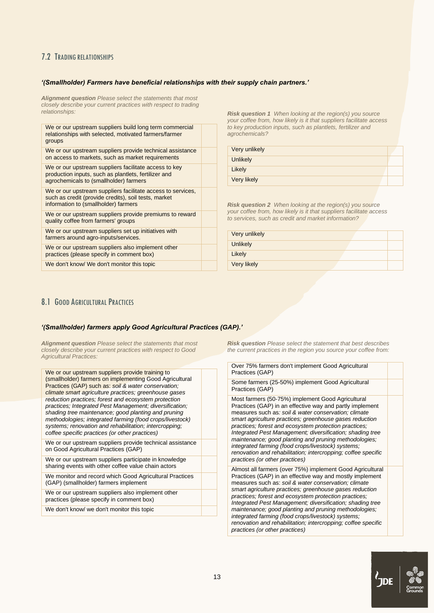## <span id="page-12-0"></span>7.2 TRADING RELATIONSHIPS

#### *'(Smallholder) Farmers have beneficial relationships with their supply chain partners.'*

*Alignment question Please select the statements that most closely describe your current practices with respect to trading relationships:*

We or our upstream suppliers build long term commercial relationships with selected, motivated farmers/farmer groups We or our upstream suppliers provide technical assistance on access to markets, such as market requirements We or our upstream suppliers facilitate access to key production inputs, such as plantlets, fertilizer and agrochemicals to (smallholder) farmers We or our upstream suppliers facilitate access to services. such as credit (provide credits), soil tests, market information to (smallholder) farmers We or our upstream suppliers provide premiums to reward quality coffee from farmers' groups We or our upstream suppliers set up initiatives with farmers around agro-inputs/services. We or our upstream suppliers also implement other

practices (please specify in comment box)

We don't know/ We don't monitor this topic

*Risk question 1 When looking at the region(s) you source your coffee from, how likely is it that suppliers facilitate access to key production inputs, such as plantlets, fertilizer and agrochemicals?*

| Very unlikely |  |
|---------------|--|
| Unlikely      |  |
| Likely        |  |
| Very likely   |  |

*Risk question 2 When looking at the region(s) you source your coffee from, how likely is it that suppliers facilitate access to services, such as credit and market information?*

| Very unlikely |  |
|---------------|--|
| Unlikely      |  |
| Likely        |  |
| Very likely   |  |

## <span id="page-12-1"></span>8.1 GOOD AGRICULTURAL PRACTICES

#### *'(Smallholder) farmers apply Good Agricultural Practices (GAP).'*

*Alignment question Please select the statements that most closely describe your current practices with respect to Good Agricultural Practices:*

We or our upstream suppliers provide training to (smallholder) farmers on implementing Good Agricultural Practices (GAP) such as: *soil & water conservation; climate smart agriculture practices; greenhouse gases reduction practices; forest and ecosystem protection practices; Integrated Pest Management; diversification; shading tree maintenance; good planting and pruning methodologies; integrated farming (food crops/livestock) systems; renovation and rehabilitation; intercropping; coffee specific practices (or other practices)*

We or our upstream suppliers provide technical assistance on Good Agricultural Practices (GAP)

We or our upstream suppliers participate in knowledge sharing events with other coffee value chain actors

We monitor and record which Good Agricultural Practices (GAP) (smallholder) farmers implement

We or our upstream suppliers also implement other practices (please specify in comment box)

We don't know/ we don't monitor this topic

*Risk question Please select the statement that best describes the current practices in the region you source your coffee from:*

| Over 75% farmers don't implement Good Agricultural<br>Practices (GAP) |  |
|-----------------------------------------------------------------------|--|
| Some farmers (25-50%) implement Good Agricultural                     |  |

Practices (GAP) Most farmers (50-75%) implement Good Agricultural Practices (GAP) in an effective way and partly implement

measures such as*: soil & water conservation; climate smart agriculture practices; greenhouse gases reduction practices; forest and ecosystem protection practices; Integrated Pest Management; diversification; shading tree maintenance; good planting and pruning methodologies; integrated farming (food crops/livestock) systems; renovation and rehabilitation; intercropping; coffee specific practices (or other practices)*

Almost all farmers (over 75%) implement Good Agricultural Practices (GAP) in an effective way and mostly implement measures such as: *soil & water conservation; climate smart agriculture practices; greenhouse gases reduction practices; forest and ecosystem protection practices; Integrated Pest Management; diversification; shading tree maintenance; good planting and pruning methodologies; integrated farming (food crops/livestock) systems; renovation and rehabilitation; intercropping; coffee specific practices (or other practices)*

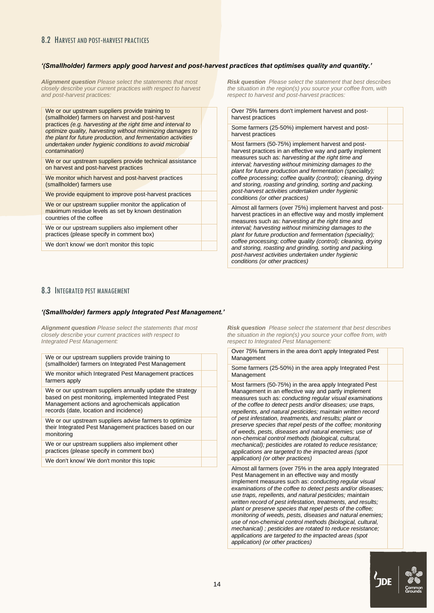## <span id="page-13-0"></span>8.2 HARVEST AND POST-HARVEST PRACTICES

#### *'(Smallholder) farmers apply good harvest and post-harvest practices that optimises quality and quantity.'*

*Alignment question Please select the statements that most closely describe your current practices with respect to harvest and post-harvest practices:*

We or our upstream suppliers provide training to (smallholder) farmers on harvest and post-harvest practices *(e.g. harvesting at the right time and interval to optimize quality, harvesting without minimizing damages to the plant for future production, and fermentation activities undertaken under hygienic conditions to avoid microbial contamination)*

We or our upstream suppliers provide technical assistance on harvest and post-harvest practices

We monitor which harvest and post-harvest practices (smallholder) farmers use

We provide equipment to improve post-harvest practices

We or our upstream supplier monitor the application of maximum residue levels as set by known destination countries of the coffee

We or our upstream suppliers also implement other practices (please specify in comment box)

We don't know/ we don't monitor this topic

*Risk question Please select the statement that best describes the situation in the region(s) you source your coffee from, with respect to harvest and post-harvest practices:*

Over 75% farmers don't implement harvest and postharvest practices

Some farmers (25-50%) implement harvest and postharvest practices

Most farmers (50-75%) implement harvest and postharvest practices in an effective way and partly implement measures such as: *harvesting at the right time and interval; harvesting without minimizing damages to the plant for future production and fermentation (speciality); coffee processing; coffee quality (control); cleaning, drying and storing, roasting and grinding, sorting and packing. post-harvest activities undertaken under hygienic conditions (or other practices)*

Almost all farmers (over 75%) implement harvest and postharvest practices in an effective way and mostly implement measures such as: *harvesting at the right time and interval; harvesting without minimizing damages to the plant for future production and fermentation (speciality); coffee processing; coffee quality (control); cleaning, drying and storing, roasting and grinding, sorting and packing. post-harvest activities undertaken under hygienic conditions (or other practices)*

### <span id="page-13-1"></span>8.3 INTEGRATED PEST MANAGEMENT

#### *'(Smallholder) farmers apply Integrated Pest Management.'*

*Alignment question Please select the statements that most closely describe your current practices with respect to Integrated Pest Management:*

| We or our upstream suppliers provide training to<br>(smallholder) farmers on Integrated Pest Management                                                                                                          |  |
|------------------------------------------------------------------------------------------------------------------------------------------------------------------------------------------------------------------|--|
| We monitor which Integrated Pest Management practices<br>farmers apply                                                                                                                                           |  |
| We or our upstream suppliers annually update the strategy<br>based on pest monitoring, implemented Integrated Pest<br>Management actions and agrochemicals application<br>records (date, location and incidence) |  |
| We or our upstream suppliers advise farmers to optimize<br>their Integrated Pest Management practices based on our<br>monitoring                                                                                 |  |
| We or our upstream suppliers also implement other<br>practices (please specify in comment box)                                                                                                                   |  |
| We don't know/ We don't monitor this topic                                                                                                                                                                       |  |

*Risk question Please select the statement that best describes the situation in the region(s) you source your coffee from, with respect to Integrated Pest Management:*

Over 75% farmers in the area don't apply Integrated Pest Management

Some farmers (25-50%) in the area apply Integrated Pest Management

Most farmers (50-75%) in the area apply Integrated Pest Management in an effective way and partly implement measures such as: *conducting regular visual examinations of the coffee to detect pests and/or diseases; use traps, repellents, and natural pesticides; maintain written record of pest infestation, treatments, and results; plant or preserve species that repel pests of the coffee; monitoring of weeds, pests, diseases and natural enemies; use of non-chemical control methods (biological, cultural, mechanical); pesticides are rotated to reduce resistance; applications are targeted to the impacted areas (spot application) (or other practices)*

Almost all farmers (over 75% in the area apply Integrated Pest Management in an effective way and mostly implement measures such as: *conducting regular visual examinations of the coffee to detect pests and/or diseases; use traps, repellents, and natural pesticides; maintain written record of pest infestation, treatments, and results; plant or preserve species that repel pests of the coffee; monitoring of weeds, pests, diseases and natural enemies; use of non-chemical control methods (biological, cultural, mechanical) ; pesticides are rotated to reduce resistance; applications are targeted to the impacted areas (spot application) (or other practices)*

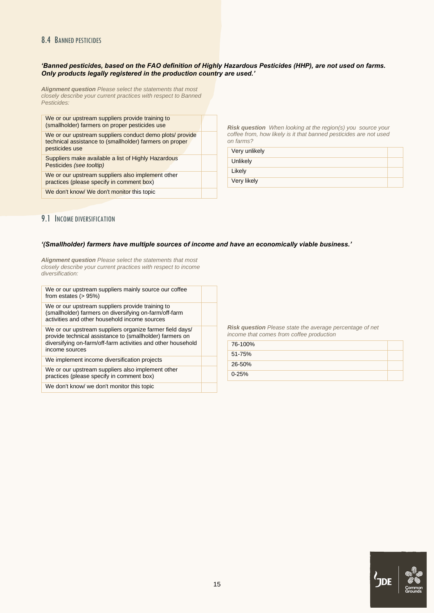## <span id="page-14-0"></span>8.4 BANNED PESTICIDES

#### *'Banned pesticides, based on the FAO definition of Highly Hazardous Pesticides (HHP), are not used on farms. Only products legally registered in the production country are used.'*

*Alignment question Please select the statements that most closely describe your current practices with respect to Banned Pesticides:*

| We or our upstream suppliers provide training to<br>(smallholder) farmers on proper pesticides use                                    |  |
|---------------------------------------------------------------------------------------------------------------------------------------|--|
| We or our upstream suppliers conduct demo plots/ provide<br>technical assistance to (smallholder) farmers on proper<br>pesticides use |  |
| Suppliers make available a list of Highly Hazardous<br>Pesticides (see tooltip)                                                       |  |
| We or our upstream suppliers also implement other<br>practices (please specify in comment box)                                        |  |
| We don't know/ We don't monitor this topic                                                                                            |  |
|                                                                                                                                       |  |

*Risk question When looking at the region(s) you source your coffee from, how likely is it that banned pesticides are not used on farms?*

| Very unlikely |  |
|---------------|--|
| Unlikely      |  |
| Likely        |  |
| Very likely   |  |

## <span id="page-14-1"></span>9.1 INCOME DIVERSIFICATION

#### *'(Smallholder) farmers have multiple sources of income and have an economically viable business.'*

*Alignment question Please select the statements that most closely describe your current practices with respect to income diversification:*

| We or our upstream suppliers mainly source our coffee<br>from estates $(> 95%)$<br>We or our upstream suppliers provide training to<br>(smallholder) farmers on diversifying on-farm/off-farm<br>activities and other household income sources<br>We or our upstream suppliers organize farmer field days/<br>provide technical assistance to (smallholder) farmers on<br>diversifying on-farm/off-farm activities and other household<br>income sources<br>We implement income diversification projects<br>We or our upstream suppliers also implement other<br>practices (please specify in comment box)<br>We don't know/ we don't monitor this topic |  |  |
|----------------------------------------------------------------------------------------------------------------------------------------------------------------------------------------------------------------------------------------------------------------------------------------------------------------------------------------------------------------------------------------------------------------------------------------------------------------------------------------------------------------------------------------------------------------------------------------------------------------------------------------------------------|--|--|
|                                                                                                                                                                                                                                                                                                                                                                                                                                                                                                                                                                                                                                                          |  |  |
|                                                                                                                                                                                                                                                                                                                                                                                                                                                                                                                                                                                                                                                          |  |  |
|                                                                                                                                                                                                                                                                                                                                                                                                                                                                                                                                                                                                                                                          |  |  |
|                                                                                                                                                                                                                                                                                                                                                                                                                                                                                                                                                                                                                                                          |  |  |
|                                                                                                                                                                                                                                                                                                                                                                                                                                                                                                                                                                                                                                                          |  |  |
|                                                                                                                                                                                                                                                                                                                                                                                                                                                                                                                                                                                                                                                          |  |  |

*Risk question Please state the average percentage of net income that comes from coffee production*

| 76-100%   |  |
|-----------|--|
| 51-75%    |  |
| 26-50%    |  |
| $0 - 25%$ |  |